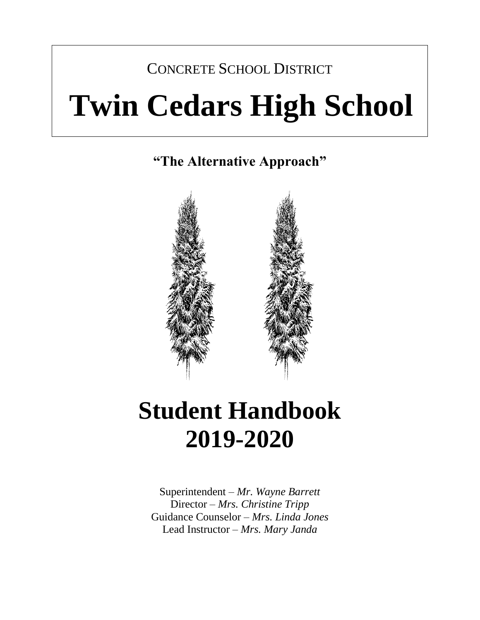# CONCRETE SCHOOL DISTRICT **Twin Cedars High School**

**"The Alternative Approach"**



## **Student Handbook 2019-2020**

 Superintendent *– Mr. Wayne Barrett* Director *– Mrs. Christine Tripp*  Guidance Counselor – *Mrs. Linda Jones*  Lead Instructor *– Mrs. Mary Janda*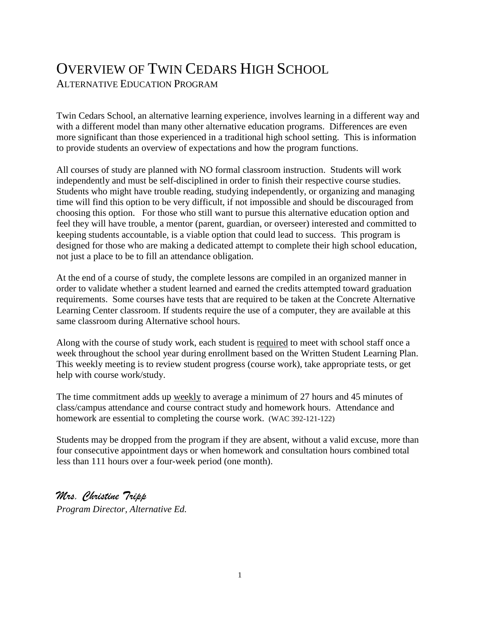### OVERVIEW OF TWIN CEDARS HIGH SCHOOL ALTERNATIVE EDUCATION PROGRAM

Twin Cedars School, an alternative learning experience, involves learning in a different way and with a different model than many other alternative education programs. Differences are even more significant than those experienced in a traditional high school setting. This is information to provide students an overview of expectations and how the program functions.

All courses of study are planned with NO formal classroom instruction. Students will work independently and must be self-disciplined in order to finish their respective course studies. Students who might have trouble reading, studying independently, or organizing and managing time will find this option to be very difficult, if not impossible and should be discouraged from choosing this option. For those who still want to pursue this alternative education option and feel they will have trouble, a mentor (parent, guardian, or overseer) interested and committed to keeping students accountable, is a viable option that could lead to success. This program is designed for those who are making a dedicated attempt to complete their high school education, not just a place to be to fill an attendance obligation.

At the end of a course of study, the complete lessons are compiled in an organized manner in order to validate whether a student learned and earned the credits attempted toward graduation requirements. Some courses have tests that are required to be taken at the Concrete Alternative Learning Center classroom. If students require the use of a computer, they are available at this same classroom during Alternative school hours.

Along with the course of study work, each student is required to meet with school staff once a week throughout the school year during enrollment based on the Written Student Learning Plan. This weekly meeting is to review student progress (course work), take appropriate tests, or get help with course work/study.

 class/campus attendance and course contract study and homework hours. Attendance and The time commitment adds up weekly to average a minimum of 27 hours and 45 minutes of homework are essential to completing the course work. (WAC 392-121-122)

Students may be dropped from the program if they are absent, without a valid excuse, more than four consecutive appointment days or when homework and consultation hours combined total less than 111 hours over a four-week period (one month).

*Mrs. Christine Tripp* 

*Program Director, Alternative Ed.*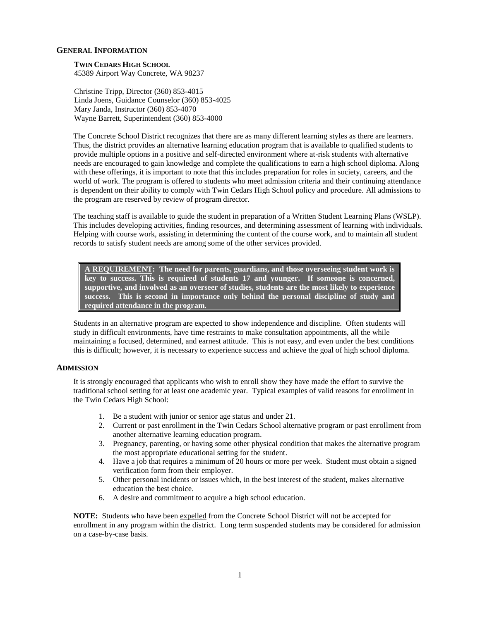### **GENERAL INFORMATION**

 45389 Airport Way Concrete, WA 98237 **TWIN CEDARS HIGH SCHOOL** 

 Linda Joens, Guidance Counselor (360) 853-4025 Christine Tripp, Director (360) 853-4015 Mary Janda, Instructor (360) 853-4070 Wayne Barrett, Superintendent (360) 853-4000

 The Concrete School District recognizes that there are as many different learning styles as there are learners. Thus, the district provides an alternative learning education program that is available to qualified students to provide multiple options in a positive and self-directed environment where at-risk students with alternative needs are encouraged to gain knowledge and complete the qualifications to earn a high school diploma. Along with these offerings, it is important to note that this includes preparation for roles in society, careers, and the world of work. The program is offered to students who meet admission criteria and their continuing attendance is dependent on their ability to comply with Twin Cedars High School policy and procedure. All admissions to the program are reserved by review of program director.

 The teaching staff is available to guide the student in preparation of a Written Student Learning Plans (WSLP). This includes developing activities, finding resources, and determining assessment of learning with individuals. Helping with course work, assisting in determining the content of the course work, and to maintain all student records to satisfy student needs are among some of the other services provided.

 **A REQUIREMENT: The need for parents, guardians, and those overseeing student work is key to success. This is required of students 17 and younger. If someone is concerned, supportive, and involved as an overseer of studies, students are the most likely to experience success. This is second in importance only behind the personal discipline of study and required attendance in the program.** 

 Students in an alternative program are expected to show independence and discipline. Often students will study in difficult environments, have time restraints to make consultation appointments, all the while maintaining a focused, determined, and earnest attitude. This is not easy, and even under the best conditions this is difficult; however, it is necessary to experience success and achieve the goal of high school diploma.

#### **ADMISSION**

 It is strongly encouraged that applicants who wish to enroll show they have made the effort to survive the traditional school setting for at least one academic year. Typical examples of valid reasons for enrollment in the Twin Cedars High School:

- 1. Be a student with junior or senior age status and under 21.
- 2. Current or past enrollment in the Twin Cedars School alternative program or past enrollment from another alternative learning education program.
- 3. Pregnancy, parenting, or having some other physical condition that makes the alternative program the most appropriate educational setting for the student.
- 4. Have a job that requires a minimum of 20 hours or more per week. Student must obtain a signed verification form from their employer.
- 5. Other personal incidents or issues which, in the best interest of the student, makes alternative education the best choice.
- 6. A desire and commitment to acquire a high school education.

 **NOTE:** Students who have been expelled from the Concrete School District will not be accepted for enrollment in any program within the district. Long term suspended students may be considered for admission on a case-by-case basis.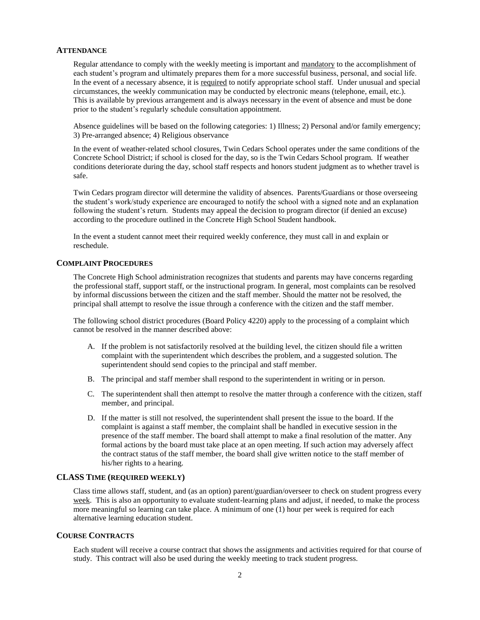#### **ATTENDANCE**

Regular attendance to comply with the weekly meeting is important and mandatory to the accomplishment of each student's program and ultimately prepares them for a more successful business, personal, and social life. In the event of a necessary absence, it is required to notify appropriate school staff. Under unusual and special circumstances, the weekly communication may be conducted by electronic means (telephone, email, etc.). This is available by previous arrangement and is always necessary in the event of absence and must be done prior to the student's regularly schedule consultation appointment.

 Absence guidelines will be based on the following categories: 1) Illness; 2) Personal and/or family emergency; 3) Pre-arranged absence; 4) Religious observance

 In the event of weather-related school closures, Twin Cedars School operates under the same conditions of the Concrete School District; if school is closed for the day, so is the Twin Cedars School program. If weather conditions deteriorate during the day, school staff respects and honors student judgment as to whether travel is safe.

 Twin Cedars program director will determine the validity of absences. Parents/Guardians or those overseeing the student's work/study experience are encouraged to notify the school with a signed note and an explanation following the student's return. Students may appeal the decision to program director (if denied an excuse) according to the procedure outlined in the Concrete High School Student handbook.

 In the event a student cannot meet their required weekly conference, they must call in and explain or reschedule.

### **COMPLAINT PROCEDURES**

 The Concrete High School administration recognizes that students and parents may have concerns regarding the professional staff, support staff, or the instructional program. In general, most complaints can be resolved by informal discussions between the citizen and the staff member. Should the matter not be resolved, the principal shall attempt to resolve the issue through a conference with the citizen and the staff member.

 The following school district procedures (Board Policy 4220) apply to the processing of a complaint which cannot be resolved in the manner described above:

- A. If the problem is not satisfactorily resolved at the building level, the citizen should file a written complaint with the superintendent which describes the problem, and a suggested solution. The superintendent should send copies to the principal and staff member.
- B. The principal and staff member shall respond to the superintendent in writing or in person.
- C. The superintendent shall then attempt to resolve the matter through a conference with the citizen, staff member, and principal.
- D. If the matter is still not resolved, the superintendent shall present the issue to the board. If the complaint is against a staff member, the complaint shall be handled in executive session in the presence of the staff member. The board shall attempt to make a final resolution of the matter. Any formal actions by the board must take place at an open meeting. If such action may adversely affect the contract status of the staff member, the board shall give written notice to the staff member of his/her rights to a hearing.

### **CLASS TIME (REQUIRED WEEKLY)**

 Class time allows staff, student, and (as an option) parent/guardian/overseer to check on student progress every week. This is also an opportunity to evaluate student-learning plans and adjust, if needed, to make the process more meaningful so learning can take place. A minimum of one (1) hour per week is required for each alternative learning education student.

### **COURSE CONTRACTS**

 Each student will receive a course contract that shows the assignments and activities required for that course of study. This contract will also be used during the weekly meeting to track student progress.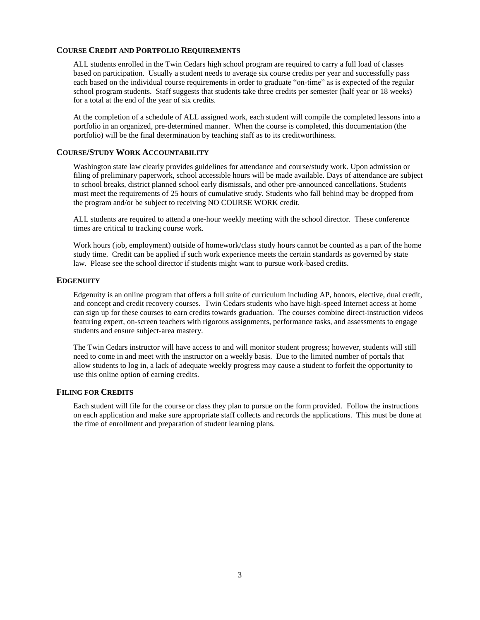### **COURSE CREDIT AND PORTFOLIO REQUIREMENTS**

 ALL students enrolled in the Twin Cedars high school program are required to carry a full load of classes based on participation. Usually a student needs to average six course credits per year and successfully pass each based on the individual course requirements in order to graduate "on-time" as is expected of the regular school program students. Staff suggests that students take three credits per semester (half year or 18 weeks) for a total at the end of the year of six credits.

 At the completion of a schedule of ALL assigned work, each student will compile the completed lessons into a portfolio in an organized, pre-determined manner. When the course is completed, this documentation (the portfolio) will be the final determination by teaching staff as to its creditworthiness.

### **COURSE/STUDY WORK ACCOUNTABILITY**

 Washington state law clearly provides guidelines for attendance and course/study work. Upon admission or filing of preliminary paperwork, school accessible hours will be made available. Days of attendance are subject to school breaks, district planned school early dismissals, and other pre-announced cancellations. Students must meet the requirements of 25 hours of cumulative study. Students who fall behind may be dropped from the program and/or be subject to receiving NO COURSE WORK credit.

 ALL students are required to attend a one-hour weekly meeting with the school director. These conference times are critical to tracking course work.

 Work hours (job, employment) outside of homework/class study hours cannot be counted as a part of the home study time. Credit can be applied if such work experience meets the certain standards as governed by state law. Please see the school director if students might want to pursue work-based credits.

#### **EDGENUITY**

 Edgenuity is an online program that offers a full suite of curriculum including AP, honors, elective, dual credit, and concept and credit recovery courses. Twin Cedars students who have high-speed Internet access at home can sign up for these courses to earn credits towards graduation. The courses combine direct-instruction videos featuring expert, on-screen teachers with rigorous assignments, performance tasks, and assessments to engage students and ensure subject-area mastery.

 The Twin Cedars instructor will have access to and will monitor student progress; however, students will still need to come in and meet with the instructor on a weekly basis. Due to the limited number of portals that allow students to log in, a lack of adequate weekly progress may cause a student to forfeit the opportunity to use this online option of earning credits.

### **FILING FOR CREDITS**

 Each student will file for the course or class they plan to pursue on the form provided. Follow the instructions on each application and make sure appropriate staff collects and records the applications. This must be done at the time of enrollment and preparation of student learning plans.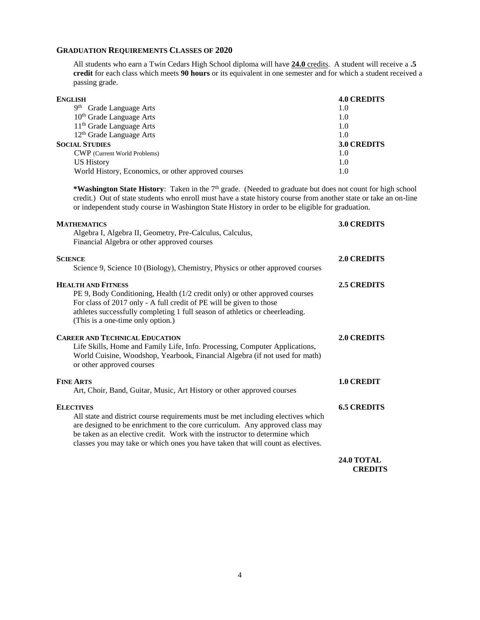### **GRADUATION REQUIREMENTS CLASSES OF 2020**

 All students who earn a Twin Cedars High School diploma will have **24.0** credits. A student will receive a **.5 credit** for each class which meets **90 hours** or its equivalent in one semester and for which a student received a passing grade.

| <b>4.0 CREDITS</b> |
|--------------------|
| 1.0                |
| 1.0                |
| 1.0                |
| 1.0                |
| <b>3.0 CREDITS</b> |
| 1.0                |
| 1.0                |
| 1.0                |
|                    |

\*Washington State History: Taken in the 7<sup>th</sup> grade. (Needed to graduate but does not count for high school credit.) Out of state students who enroll must have a state history course from another state or take an on-line or independent study course in Washington State History in order to be eligible for graduation.

| <b>MATHEMATICS</b><br>Algebra I, Algebra II, Geometry, Pre-Calculus, Calculus,                                                                                                                                                                                                                                                     | <b>3.0 CREDITS</b>                  |
|------------------------------------------------------------------------------------------------------------------------------------------------------------------------------------------------------------------------------------------------------------------------------------------------------------------------------------|-------------------------------------|
| Financial Algebra or other approved courses                                                                                                                                                                                                                                                                                        |                                     |
| <b>SCIENCE</b>                                                                                                                                                                                                                                                                                                                     | <b>2.0 CREDITS</b>                  |
| Science 9, Science 10 (Biology), Chemistry, Physics or other approved courses                                                                                                                                                                                                                                                      |                                     |
| <b>HEALTH AND FITNESS</b>                                                                                                                                                                                                                                                                                                          | <b>2.5 CREDITS</b>                  |
| PE 9, Body Conditioning, Health (1/2 credit only) or other approved courses<br>For class of 2017 only - A full credit of PE will be given to those<br>athletes successfully completing 1 full season of athletics or cheerleading.<br>(This is a one-time only option.)                                                            |                                     |
| <b>CAREER AND TECHNICAL EDUCATION</b><br>Life Skills, Home and Family Life, Info. Processing, Computer Applications,<br>World Cuisine, Woodshop, Yearbook, Financial Algebra (if not used for math)<br>or other approved courses                                                                                                   | <b>2.0 CREDITS</b>                  |
| <b>FINE ARTS</b><br>Art, Choir, Band, Guitar, Music, Art History or other approved courses                                                                                                                                                                                                                                         | <b>1.0 CREDIT</b>                   |
| <b>ELECTIVES</b>                                                                                                                                                                                                                                                                                                                   | <b>6.5 CREDITS</b>                  |
| All state and district course requirements must be met including electives which<br>are designed to be enrichment to the core curriculum. Any approved class may<br>be taken as an elective credit. Work with the instructor to determine which<br>classes you may take or which ones you have taken that will count as electives. |                                     |
|                                                                                                                                                                                                                                                                                                                                    | <b>24.0 TOTAL</b><br><b>CREDITS</b> |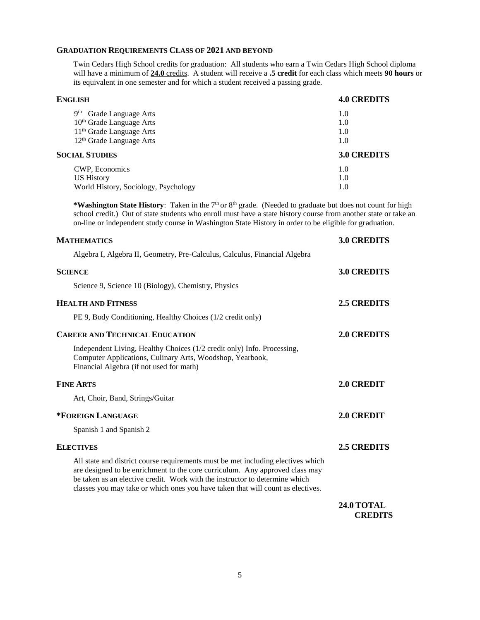### **GRADUATION REQUIREMENTS CLASS OF 2021 AND BEYOND**

 Twin Cedars High School credits for graduation: All students who earn a Twin Cedars High School diploma will have a minimum of **24.0** credits. A student will receive a **.5 credit** for each class which meets **90 hours** or its equivalent in one semester and for which a student received a passing grade.

| ENGLISH                                | <b>4.0 CREDITS</b> |
|----------------------------------------|--------------------|
| 9 <sup>th</sup><br>Grade Language Arts | 1.0                |
| 10 <sup>th</sup> Grade Language Arts   | 1.0                |
| 11 <sup>th</sup> Grade Language Arts   | 1.0                |
| 12 <sup>th</sup> Grade Language Arts   | 1.0                |
| <b>SOCIAL STUDIES</b>                  | 3.0 CREDITS        |
| CWP, Economics                         | 1.0                |
| US History                             | 1.0                |
| World History, Sociology, Psychology   | 1.0                |

\*Washington State History: Taken in the 7<sup>th</sup> or 8<sup>th</sup> grade. (Needed to graduate but does not count for high school credit.) Out of state students who enroll must have a state history course from another state or take an on-line or independent study course in Washington State History in order to be eligible for graduation.

| <b>MATHEMATICS</b>                                                                                                                                                                                                                                                                                                                 | <b>3.0 CREDITS</b>                  |
|------------------------------------------------------------------------------------------------------------------------------------------------------------------------------------------------------------------------------------------------------------------------------------------------------------------------------------|-------------------------------------|
| Algebra I, Algebra II, Geometry, Pre-Calculus, Calculus, Financial Algebra                                                                                                                                                                                                                                                         |                                     |
| <b>SCIENCE</b>                                                                                                                                                                                                                                                                                                                     | 3.0 CREDITS                         |
| Science 9, Science 10 (Biology), Chemistry, Physics                                                                                                                                                                                                                                                                                |                                     |
| <b>HEALTH AND FITNESS</b>                                                                                                                                                                                                                                                                                                          | <b>2.5 CREDITS</b>                  |
| PE 9, Body Conditioning, Healthy Choices (1/2 credit only)                                                                                                                                                                                                                                                                         |                                     |
| <b>CAREER AND TECHNICAL EDUCATION</b>                                                                                                                                                                                                                                                                                              | 2.0 CREDITS                         |
| Independent Living, Healthy Choices (1/2 credit only) Info. Processing,<br>Computer Applications, Culinary Arts, Woodshop, Yearbook,<br>Financial Algebra (if not used for math)                                                                                                                                                   |                                     |
| <b>FINE ARTS</b>                                                                                                                                                                                                                                                                                                                   | 2.0 CREDIT                          |
| Art, Choir, Band, Strings/Guitar                                                                                                                                                                                                                                                                                                   |                                     |
| *FOREIGN LANGUAGE                                                                                                                                                                                                                                                                                                                  | 2.0 CREDIT                          |
| Spanish 1 and Spanish 2                                                                                                                                                                                                                                                                                                            |                                     |
| <b>ELECTIVES</b>                                                                                                                                                                                                                                                                                                                   | <b>2.5 CREDITS</b>                  |
| All state and district course requirements must be met including electives which<br>are designed to be enrichment to the core curriculum. Any approved class may<br>be taken as an elective credit. Work with the instructor to determine which<br>classes you may take or which ones you have taken that will count as electives. |                                     |
|                                                                                                                                                                                                                                                                                                                                    | <b>24.0 TOTAL</b><br><b>CREDITS</b> |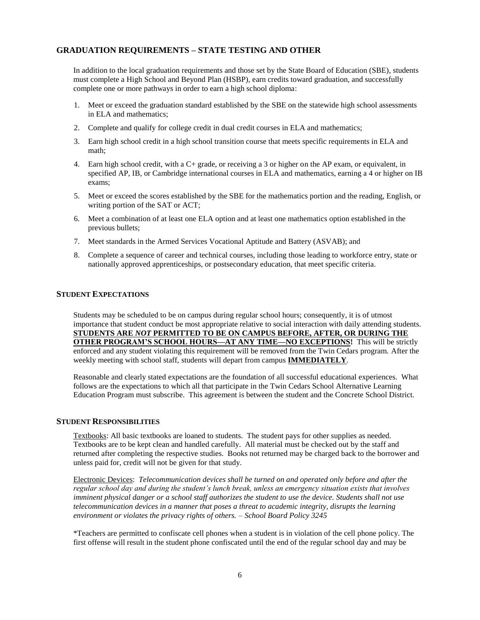### **GRADUATION REQUIREMENTS – STATE TESTING AND OTHER**

 In addition to the local graduation requirements and those set by the State Board of Education (SBE), students must complete a High School and Beyond Plan (HSBP), earn credits toward graduation, and successfully complete one or more pathways in order to earn a high school diploma:

- 1. Meet or exceed the graduation standard established by the SBE on the statewide high school assessments in ELA and mathematics;
- 2. Complete and qualify for college credit in dual credit courses in ELA and mathematics;
- 3. Earn high school credit in a high school transition course that meets specific requirements in ELA and math;
- 4. Earn high school credit, with a C+ grade, or receiving a 3 or higher on the AP exam, or equivalent, in specified AP, IB, or Cambridge international courses in ELA and mathematics, earning a 4 or higher on IB exams;
- 5. Meet or exceed the scores established by the SBE for the mathematics portion and the reading, English, or writing portion of the SAT or ACT;
- 6. Meet a combination of at least one ELA option and at least one mathematics option established in the previous bullets;
- 7. Meet standards in the Armed Services Vocational Aptitude and Battery (ASVAB); and
- 8. Complete a sequence of career and technical courses, including those leading to workforce entry, state or nationally approved apprenticeships, or postsecondary education, that meet specific criteria.

### **STUDENT EXPECTATIONS**

 Students may be scheduled to be on campus during regular school hours; consequently, it is of utmost importance that student conduct be most appropriate relative to social interaction with daily attending students.  **STUDENTS ARE** *NOT* **PERMITTED TO BE ON CAMPUS BEFORE, AFTER, OR DURING THE OTHER PROGRAM'S SCHOOL HOURS—AT ANY TIME—NO EXCEPTIONS!** This will be strictly enforced and any student violating this requirement will be removed from the Twin Cedars program. After the weekly meeting with school staff, students will depart from campus **IMMEDIATELY**.

 Reasonable and clearly stated expectations are the foundation of all successful educational experiences. What follows are the expectations to which all that participate in the Twin Cedars School Alternative Learning Education Program must subscribe. This agreement is between the student and the Concrete School District.

#### **STUDENT RESPONSIBILITIES**

Textbooks: All basic textbooks are loaned to students. The student pays for other supplies as needed. Textbooks are to be kept clean and handled carefully. All material must be checked out by the staff and returned after completing the respective studies. Books not returned may be charged back to the borrower and unless paid for, credit will not be given for that study.

 Electronic Devices: *Telecommunication devices shall be turned on and operated only before and after the regular school day and during the student's lunch break, unless an emergency situation exists that involves imminent physical danger or a school staff authorizes the student to use the device. Students shall not use telecommunication devices in a manner that poses a threat to academic integrity, disrupts the learning environment or violates the privacy rights of others. – School Board Policy 3245* 

 \*Teachers are permitted to confiscate cell phones when a student is in violation of the cell phone policy. The first offense will result in the student phone confiscated until the end of the regular school day and may be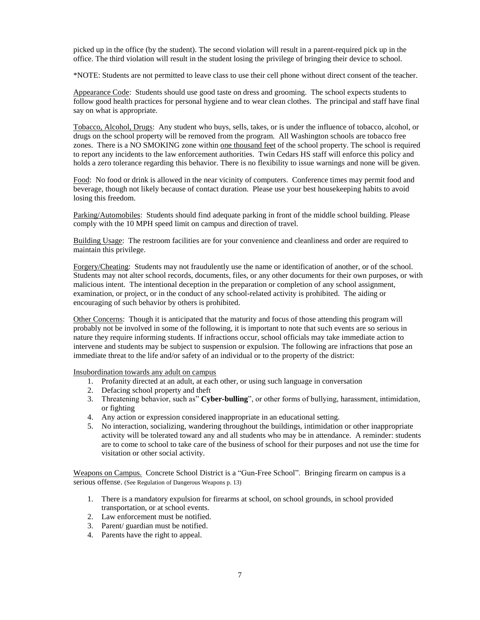picked up in the office (by the student). The second violation will result in a parent-required pick up in the office. The third violation will result in the student losing the privilege of bringing their device to school.

\*NOTE: Students are not permitted to leave class to use their cell phone without direct consent of the teacher.

Appearance Code: Students should use good taste on dress and grooming. The school expects students to follow good health practices for personal hygiene and to wear clean clothes. The principal and staff have final say on what is appropriate.

Tobacco, Alcohol, Drugs: Any student who buys, sells, takes, or is under the influence of tobacco, alcohol, or drugs on the school property will be removed from the program. All Washington schools are tobacco free zones. There is a NO SMOKING zone within one thousand feet of the school property. The school is required to report any incidents to the law enforcement authorities. Twin Cedars HS staff will enforce this policy and holds a zero tolerance regarding this behavior. There is no flexibility to issue warnings and none will be given.

Food: No food or drink is allowed in the near vicinity of computers. Conference times may permit food and beverage, though not likely because of contact duration. Please use your best housekeeping habits to avoid losing this freedom.

Parking/Automobiles: Students should find adequate parking in front of the middle school building. Please comply with the 10 MPH speed limit on campus and direction of travel.

Building Usage: The restroom facilities are for your convenience and cleanliness and order are required to maintain this privilege.

Forgery/Cheating: Students may not fraudulently use the name or identification of another, or of the school. Students may not alter school records, documents, files, or any other documents for their own purposes, or with malicious intent. The intentional deception in the preparation or completion of any school assignment, examination, or project, or in the conduct of any school-related activity is prohibited. The aiding or encouraging of such behavior by others is prohibited.

Other Concerns: Though it is anticipated that the maturity and focus of those attending this program will probably not be involved in some of the following, it is important to note that such events are so serious in nature they require informing students. If infractions occur, school officials may take immediate action to intervene and students may be subject to suspension or expulsion. The following are infractions that pose an immediate threat to the life and/or safety of an individual or to the property of the district:

Insubordination towards any adult on campus

- 1. Profanity directed at an adult, at each other, or using such language in conversation
- 2. Defacing school property and theft
- 3. Threatening behavior, such as" **Cyber-bulling**", or other forms of bullying, harassment, intimidation, or fighting
- 4. Any action or expression considered inappropriate in an educational setting.
- 5. No interaction, socializing, wandering throughout the buildings, intimidation or other inappropriate activity will be tolerated toward any and all students who may be in attendance. A reminder: students are to come to school to take care of the business of school for their purposes and not use the time for visitation or other social activity.

 Weapons on Campus. Concrete School District is a "Gun-Free School". Bringing firearm on campus is a serious offense. (See Regulation of Dangerous Weapons p. 13)

- 1. There is a mandatory expulsion for firearms at school, on school grounds, in school provided transportation, or at school events.
- 2. Law enforcement must be notified.
- 3. Parent/ guardian must be notified.
- 4. Parents have the right to appeal.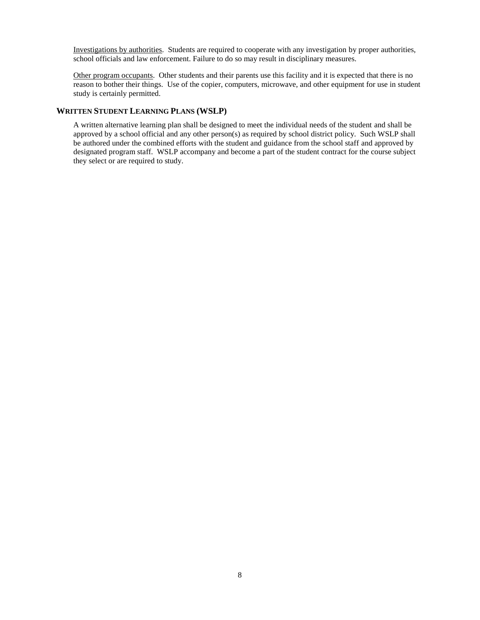Investigations by authorities. Students are required to cooperate with any investigation by proper authorities, school officials and law enforcement. Failure to do so may result in disciplinary measures.

Other program occupants. Other students and their parents use this facility and it is expected that there is no reason to bother their things. Use of the copier, computers, microwave, and other equipment for use in student study is certainly permitted.

### **WRITTEN STUDENT LEARNING PLANS (WSLP)**

 A written alternative learning plan shall be designed to meet the individual needs of the student and shall be approved by a school official and any other person(s) as required by school district policy. Such WSLP shall be authored under the combined efforts with the student and guidance from the school staff and approved by designated program staff. WSLP accompany and become a part of the student contract for the course subject they select or are required to study.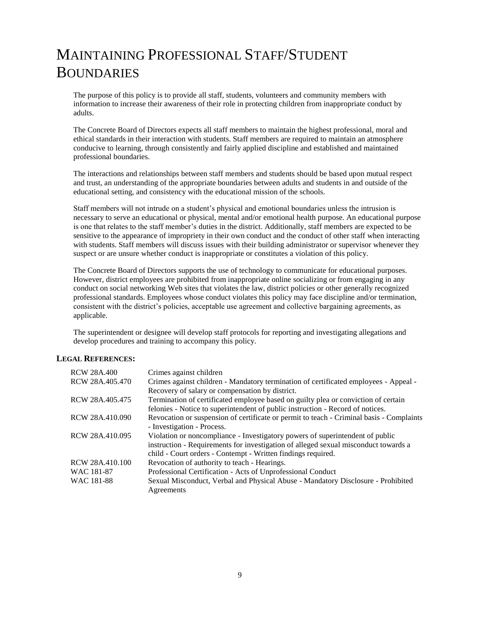### MAINTAINING PROFESSIONAL STAFF/STUDENT BOUNDARIES

 The purpose of this policy is to provide all staff, students, volunteers and community members with information to increase their awareness of their role in protecting children from inappropriate conduct by adults.

 The Concrete Board of Directors expects all staff members to maintain the highest professional, moral and ethical standards in their interaction with students. Staff members are required to maintain an atmosphere conducive to learning, through consistently and fairly applied discipline and established and maintained professional boundaries.

 The interactions and relationships between staff members and students should be based upon mutual respect and trust, an understanding of the appropriate boundaries between adults and students in and outside of the educational setting, and consistency with the educational mission of the schools.

 Staff members will not intrude on a student's physical and emotional boundaries unless the intrusion is necessary to serve an educational or physical, mental and/or emotional health purpose. An educational purpose is one that relates to the staff member's duties in the district. Additionally, staff members are expected to be sensitive to the appearance of impropriety in their own conduct and the conduct of other staff when interacting with students. Staff members will discuss issues with their building administrator or supervisor whenever they suspect or are unsure whether conduct is inappropriate or constitutes a violation of this policy.

 The Concrete Board of Directors supports the use of technology to communicate for educational purposes. However, district employees are prohibited from inappropriate online socializing or from engaging in any conduct on social networking Web sites that violates the law, district policies or other generally recognized professional standards. Employees whose conduct violates this policy may face discipline and/or termination, consistent with the district's policies, acceptable use agreement and collective bargaining agreements, as applicable.

 The superintendent or designee will develop staff protocols for reporting and investigating allegations and develop procedures and training to accompany this policy.

### **LEGAL REFERENCES:**

| <b>RCW 28A.400</b> | Crimes against children                                                                  |
|--------------------|------------------------------------------------------------------------------------------|
| RCW 28A.405.470    | Crimes against children - Mandatory termination of certificated employees - Appeal -     |
|                    | Recovery of salary or compensation by district.                                          |
| RCW 28A.405.475    | Termination of certificated employee based on guilty plea or conviction of certain       |
|                    | felonies - Notice to superintendent of public instruction - Record of notices.           |
| RCW 28A.410.090    | Revocation or suspension of certificate or permit to teach - Criminal basis - Complaints |
|                    | - Investigation - Process.                                                               |
| RCW 28A.410.095    | Violation or noncompliance - Investigatory powers of superintendent of public            |
|                    | instruction - Requirements for investigation of alleged sexual misconduct towards a      |
|                    | child - Court orders - Contempt - Written findings required.                             |
| RCW 28A.410.100    | Revocation of authority to teach - Hearings.                                             |
| WAC 181-87         | Professional Certification - Acts of Unprofessional Conduct                              |
| WAC 181-88         | Sexual Misconduct, Verbal and Physical Abuse - Mandatory Disclosure - Prohibited         |
|                    | Agreements                                                                               |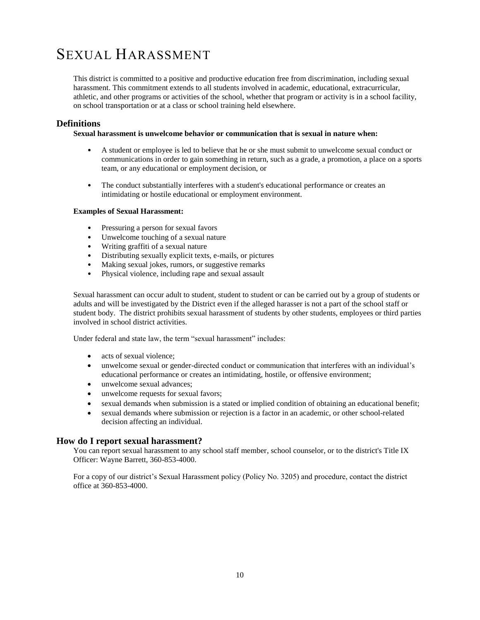### SEXUAL HARASSMENT

 This district is committed to a positive and productive education free from discrimination, including sexual harassment. This commitment extends to all students involved in academic, educational, extracurricular, athletic, and other programs or activities of the school, whether that program or activity is in a school facility, on school transportation or at a class or school training held elsewhere.

### **Definitions**

### **Sexual harassment is unwelcome behavior or communication that is sexual in nature when:**

- • A student or employee is led to believe that he or she must submit to unwelcome sexual conduct or communications in order to gain something in return, such as a grade, a promotion, a place on a sports team, or any educational or employment decision, or
- intimidating or hostile educational or employment environment. • The conduct substantially interferes with a student's educational performance or creates an

### **Examples of Sexual Harassment:**

- Pressuring a person for sexual favors
- Unwelcome touching of a sexual nature
- Writing graffiti of a sexual nature
- Distributing sexually explicit texts, e-mails, or pictures
- Making sexual jokes, rumors, or suggestive remarks
- Physical violence, including rape and sexual assault

 Sexual harassment can occur adult to student, student to student or can be carried out by a group of students or adults and will be investigated by the District even if the alleged harasser is not a part of the school staff or student body. The district prohibits sexual harassment of students by other students, employees or third parties involved in school district activities.

Under federal and state law, the term "sexual harassment" includes:

- acts of sexual violence;
- unwelcome sexual or gender-directed conduct or communication that interferes with an individual's educational performance or creates an intimidating, hostile, or offensive environment;
- unwelcome sexual advances;
- unwelcome requests for sexual favors;
- sexual demands when submission is a stated or implied condition of obtaining an educational benefit;
- sexual demands where submission or rejection is a factor in an academic, or other school-related decision affecting an individual.

### **How do I report sexual harassment?**

 You can report sexual harassment to any school staff member, school counselor, or to the district's Title IX Officer: Wayne Barrett, 360-853-4000.

Officer: Wayne Barrett, 360-853-4000.<br>For a copy of our district's Sexual Harassment policy (Policy No. 3205) and procedure, contact the district office at 360-853-4000.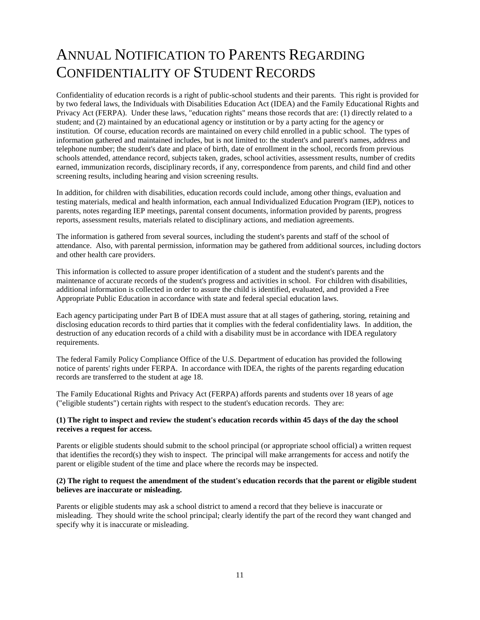### ANNUAL NOTIFICATION TO PARENTS REGARDING CONFIDENTIALITY OF STUDENT RECORDS

 Confidentiality of education records is a right of public-school students and their parents. This right is provided for by two federal laws, the Individuals with Disabilities Education Act (IDEA) and the Family Educational Rights and Privacy Act (FERPA). Under these laws, "education rights" means those records that are: (1) directly related to a student; and (2) maintained by an educational agency or institution or by a party acting for the agency or institution. Of course, education records are maintained on every child enrolled in a public school. The types of information gathered and maintained includes, but is not limited to: the student's and parent's names, address and telephone number; the student's date and place of birth, date of enrollment in the school, records from previous schools attended, attendance record, subjects taken, grades, school activities, assessment results, number of credits earned, immunization records, disciplinary records, if any, correspondence from parents, and child find and other screening results, including hearing and vision screening results.

 In addition, for children with disabilities, education records could include, among other things, evaluation and testing materials, medical and health information, each annual Individualized Education Program (IEP), notices to parents, notes regarding IEP meetings, parental consent documents, information provided by parents, progress reports, assessment results, materials related to disciplinary actions, and mediation agreements.

 The information is gathered from several sources, including the student's parents and staff of the school of attendance. Also, with parental permission, information may be gathered from additional sources, including doctors and other health care providers.

 This information is collected to assure proper identification of a student and the student's parents and the maintenance of accurate records of the student's progress and activities in school. For children with disabilities, additional information is collected in order to assure the child is identified, evaluated, and provided a Free Appropriate Public Education in accordance with state and federal special education laws.

 Each agency participating under Part B of IDEA must assure that at all stages of gathering, storing, retaining and disclosing education records to third parties that it complies with the federal confidentiality laws. In addition, the destruction of any education records of a child with a disability must be in accordance with IDEA regulatory requirements.

 The federal Family Policy Compliance Office of the U.S. Department of education has provided the following notice of parents' rights under FERPA. In accordance with IDEA, the rights of the parents regarding education records are transferred to the student at age 18.

 The Family Educational Rights and Privacy Act (FERPA) affords parents and students over 18 years of age ("eligible students") certain rights with respect to the student's education records. They are:

### **(1) The right to inspect and review the student's education records within 45 days of the day the school receives a request for access.**

 Parents or eligible students should submit to the school principal (or appropriate school official) a written request that identifies the record(s) they wish to inspect. The principal will make arrangements for access and notify the parent or eligible student of the time and place where the records may be inspected.

### **(2) The right to request the amendment of the student's education records that the parent or eligible student believes are inaccurate or misleading.**

 Parents or eligible students may ask a school district to amend a record that they believe is inaccurate or misleading. They should write the school principal; clearly identify the part of the record they want changed and specify why it is inaccurate or misleading.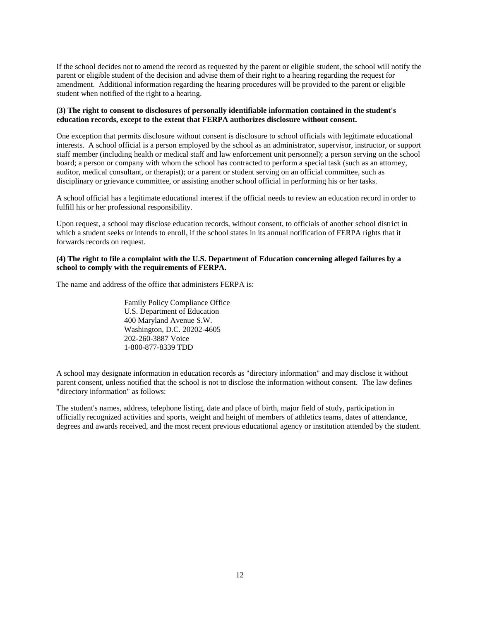If the school decides not to amend the record as requested by the parent or eligible student, the school will notify the parent or eligible student of the decision and advise them of their right to a hearing regarding the request for amendment. Additional information regarding the hearing procedures will be provided to the parent or eligible student when notified of the right to a hearing.

#### **(3) The right to consent to disclosures of personally identifiable information contained in the student's education records, except to the extent that FERPA authorizes disclosure without consent.**

 One exception that permits disclosure without consent is disclosure to school officials with legitimate educational interests. A school official is a person employed by the school as an administrator, supervisor, instructor, or support staff member (including health or medical staff and law enforcement unit personnel); a person serving on the school board; a person or company with whom the school has contracted to perform a special task (such as an attorney, auditor, medical consultant, or therapist); or a parent or student serving on an official committee, such as disciplinary or grievance committee, or assisting another school official in performing his or her tasks.

 A school official has a legitimate educational interest if the official needs to review an education record in order to fulfill his or her professional responsibility.

 Upon request, a school may disclose education records, without consent, to officials of another school district in which a student seeks or intends to enroll, if the school states in its annual notification of FERPA rights that it forwards records on request.

### **(4) The right to file a complaint with the U.S. Department of Education concerning alleged failures by a school to comply with the requirements of FERPA.**

The name and address of the office that administers FERPA is:

 Family Policy Compliance Office U.S. Department of Education 400 Maryland Avenue S.W. Washington, D.C. 20202-4605 202-260-3887 Voice 1-800-877-8339 TDD

 A school may designate information in education records as "directory information" and may disclose it without parent consent, unless notified that the school is not to disclose the information without consent. The law defines "directory information" as follows:

 The student's names, address, telephone listing, date and place of birth, major field of study, participation in officially recognized activities and sports, weight and height of members of athletics teams, dates of attendance, degrees and awards received, and the most recent previous educational agency or institution attended by the student.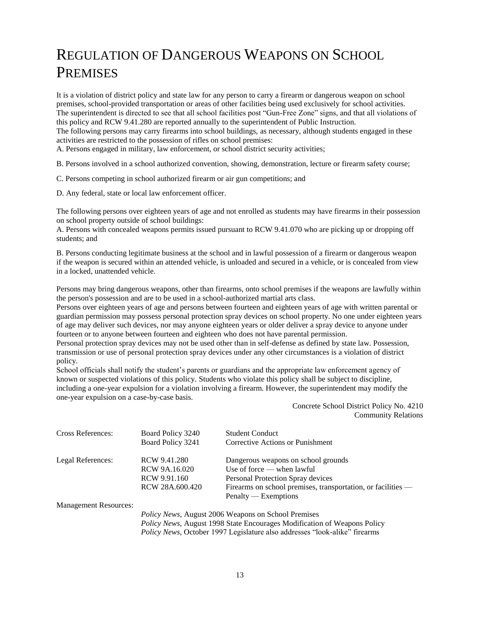### REGULATION OF DANGEROUS WEAPONS ON SCHOOL PREMISES

 It is a violation of district policy and state law for any person to carry a firearm or dangerous weapon on school premises, school-provided transportation or areas of other facilities being used exclusively for school activities. The superintendent is directed to see that all school facilities post "Gun-Free Zone" signs, and that all violations of this policy and RCW 9.41.280 are reported annually to the superintendent of Public Instruction. The following persons may carry firearms into school buildings, as necessary, although students engaged in these

activities are restricted to the possession of rifles on school premises:

A. Persons engaged in military, law enforcement, or school district security activities;

B. Persons involved in a school authorized convention, showing, demonstration, lecture or firearm safety course;

C. Persons competing in school authorized firearm or air gun competitions; and

D. Any federal, state or local law enforcement officer.

 The following persons over eighteen years of age and not enrolled as students may have firearms in their possession on school property outside of school buildings:

 A. Persons with concealed weapons permits issued pursuant to RCW 9.41.070 who are picking up or dropping off students; and

 B. Persons conducting legitimate business at the school and in lawful possession of a firearm or dangerous weapon if the weapon is secured within an attended vehicle, is unloaded and secured in a vehicle, or is concealed from view in a locked, unattended vehicle.

 Persons may bring dangerous weapons, other than firearms, onto school premises if the weapons are lawfully within the person's possession and are to be used in a school-authorized martial arts class.

 Persons over eighteen years of age and persons between fourteen and eighteen years of age with written parental or guardian permission may possess personal protection spray devices on school property. No one under eighteen years of age may deliver such devices, nor may anyone eighteen years or older deliver a spray device to anyone under fourteen or to anyone between fourteen and eighteen who does not have parental permission.

 Personal protection spray devices may not be used other than in self-defense as defined by state law. Possession, transmission or use of personal protection spray devices under any other circumstances is a violation of district policy.

 School officials shall notify the student's parents or guardians and the appropriate law enforcement agency of known or suspected violations of this policy. Students who violate this policy shall be subject to discipline, including a one-year expulsion for a violation involving a firearm. However, the superintendent may modify the one-year expulsion on a case-by-case basis.

> Concrete School District Policy No. 4210 Community Relations

| Cross References:            | Board Policy 3240<br>Board Policy 3241                                     | <b>Student Conduct</b><br>Corrective Actions or Punishment     |  |
|------------------------------|----------------------------------------------------------------------------|----------------------------------------------------------------|--|
| Legal References:            | RCW 9.41.280                                                               | Dangerous weapons on school grounds                            |  |
|                              | RCW 9A.16.020                                                              | Use of force $-$ when lawful                                   |  |
|                              | RCW 9.91.160                                                               | Personal Protection Spray devices                              |  |
|                              | RCW 28A.600.420                                                            | Firearms on school premises, transportation, or facilities $-$ |  |
|                              |                                                                            | Penalty — Exemptions                                           |  |
| <b>Management Resources:</b> |                                                                            |                                                                |  |
|                              | Policy News, August 2006 Weapons on School Premises                        |                                                                |  |
|                              | Policy News, August 1998 State Encourages Modification of Weapons Policy   |                                                                |  |
|                              | Policy News, October 1997 Legislature also addresses "look-alike" firearms |                                                                |  |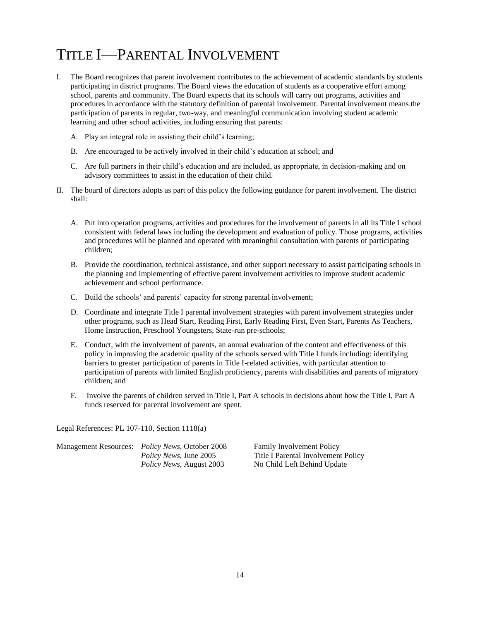### TITLE I—PARENTAL INVOLVEMENT

- I. The Board recognizes that parent involvement contributes to the achievement of academic standards by students participating in district programs. The Board views the education of students as a cooperative effort among school, parents and community. The Board expects that its schools will carry out programs, activities and procedures in accordance with the statutory definition of parental involvement. Parental involvement means the participation of parents in regular, two-way, and meaningful communication involving student academic learning and other school activities, including ensuring that parents:
	- A. Play an integral role in assisting their child's learning;
	- B. Are encouraged to be actively involved in their child's education at school; and
	- C. Are full partners in their child's education and are included, as appropriate, in decision-making and on advisory committees to assist in the education of their child.
- II. The board of directors adopts as part of this policy the following guidance for parent involvement. The district shall:
	- A. Put into operation programs, activities and procedures for the involvement of parents in all its Title I school consistent with federal laws including the development and evaluation of policy. Those programs, activities and procedures will be planned and operated with meaningful consultation with parents of participating children;
	- B. Provide the coordination, technical assistance, and other support necessary to assist participating schools in the planning and implementing of effective parent involvement activities to improve student academic achievement and school performance.
	- C. Build the schools' and parents' capacity for strong parental involvement;
	- other programs, such as Head Start, Reading First, Early Reading First, Even Start, Parents As Teachers, D. Coordinate and integrate Title I parental involvement strategies with parent involvement strategies under Home Instruction, Preschool Youngsters, State-run pre-schools;
	- E. Conduct, with the involvement of parents, an annual evaluation of the content and effectiveness of this policy in improving the academic quality of the schools served with Title I funds including: identifying barriers to greater participation of parents in Title I-related activities, with particular attention to participation of parents with limited English proficiency, parents with disabilities and parents of migratory children; and
	- F. Involve the parents of children served in Title I, Part A schools in decisions about how the Title I, Part A funds reserved for parental involvement are spent.

Legal References: PL 107-110, Section 1118(a)

| Management Resources: <i>Policy News</i> , October 2008 |
|---------------------------------------------------------|
| <i>Policy News</i> , June 2005                          |
| <i>Policy News, August 2003</i>                         |

Policy News, August 2003 No Child Left Behind Update Family Involvement Policy **Title I Parental Involvement Policy**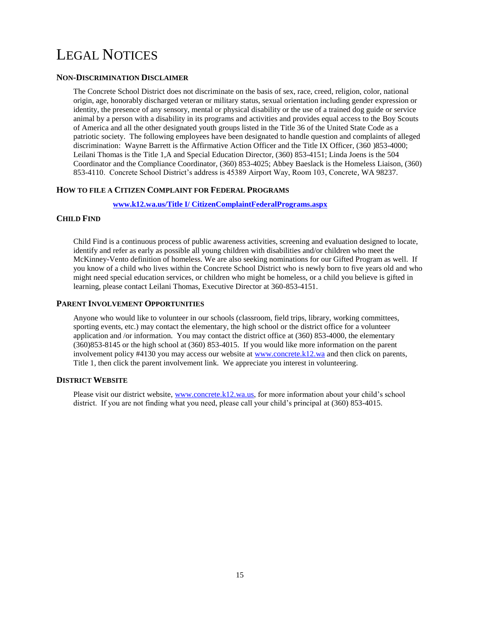### LEGAL NOTICES

### **NON-DISCRIMINATION DISCLAIMER**

 The Concrete School District does not discriminate on the basis of sex, race, creed, religion, color, national origin, age, honorably discharged veteran or military status, sexual orientation including gender expression or identity, the presence of any sensory, mental or physical disability or the use of a trained dog guide or service animal by a person with a disability in its programs and activities and provides equal access to the Boy Scouts of America and all the other designated youth groups listed in the Title 36 of the United State Code as a patriotic society. The following employees have been designated to handle question and complaints of alleged discrimination: Wayne Barrett is the Affirmative Action Officer and the Title IX Officer, (360 )853-4000; Leilani Thomas is the Title 1,A and Special Education Director, (360) 853-4151; Linda Joens is the 504 Coordinator and the Compliance Coordinator, (360) 853-4025; Abbey Baeslack is the Homeless Liaison, (360) 853-4110. Concrete School District's address is 45389 Airport Way, Room 103, Concrete, WA 98237.

### **HOW TO FILE A CITIZEN COMPLAINT FOR FEDERAL PROGRAMS**

### **[www.k12.wa.us/Title I/ CitizenComplaintFederalPrograms.aspx](http://www.k12.wa.us/Title%20I/%20CitizenComplaintFederalPrograms.aspx)**

### **CHILD FIND**

 Child Find is a continuous process of public awareness activities, screening and evaluation designed to locate, identify and refer as early as possible all young children with disabilities and/or children who meet the McKinney-Vento definition of homeless. We are also seeking nominations for our Gifted Program as well. If you know of a child who lives within the Concrete School District who is newly born to five years old and who might need special education services, or children who might be homeless, or a child you believe is gifted in learning, please contact Leilani Thomas, Executive Director at 360-853-4151.

### **PARENT INVOLVEMENT OPPORTUNITIES**

 Anyone who would like to volunteer in our schools (classroom, field trips, library, working committees, sporting events, etc.) may contact the elementary, the high school or the district office for a volunteer application and /or information. You may contact the district office at (360) 853-4000, the elementary (360)853-8145 or the high school at (360) 853-4015. If you would like more information on the parent involvement policy #4130 you may access our website at [www.concrete.k12.wa](http://www.concrete.k12.wa/) and then click on parents, Title 1, then click the parent involvement link. We appreciate you interest in volunteering.

### **DISTRICT WEBSITE**

Please visit our district website, [www.concrete.k12.wa.us,](http://www.concrete.k12.wa.us/) for more information about your child's school district. If you are not finding what you need, please call your child's principal at (360) 853-4015.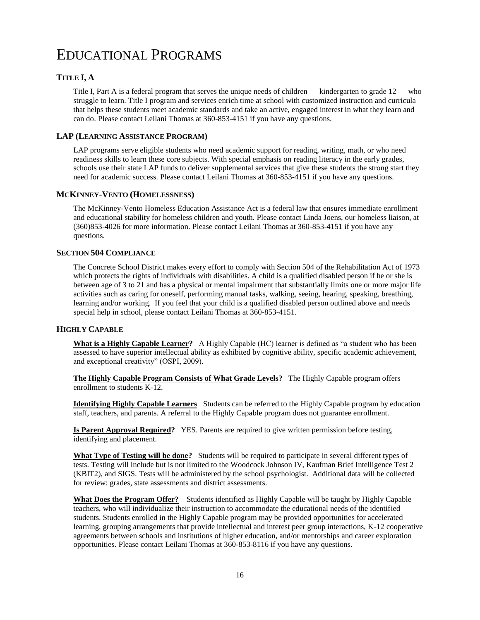### EDUCATIONAL PROGRAMS

### **TITLE I, A**

 Title I, Part A is a federal program that serves the unique needs of children — kindergarten to grade 12 — who struggle to learn. Title I program and services enrich time at school with customized instruction and curricula that helps these students meet academic standards and take an active, engaged interest in what they learn and can do. Please contact Leilani Thomas at 360-853-4151 if you have any questions.

### **LAP (LEARNING ASSISTANCE PROGRAM)**

 LAP programs serve eligible students who need academic support for reading, writing, math, or who need readiness skills to learn these core subjects. With special emphasis on reading literacy in the early grades, schools use their state LAP funds to deliver supplemental services that give these students the strong start they need for academic success. Please contact Leilani Thomas at 360-853-4151 if you have any questions.

#### **MCKINNEY-VENTO (HOMELESSNESS)**

 The McKinney-Vento Homeless Education Assistance Act is a federal law that ensures immediate enrollment and educational stability for homeless children and youth. Please contact Linda Joens, our homeless liaison, at (360)853-4026 for more information. Please contact Leilani Thomas at 360-853-4151 if you have any questions.

### **SECTION 504 COMPLIANCE**

 The Concrete School District makes every effort to comply with Section 504 of the Rehabilitation Act of 1973 which protects the rights of individuals with disabilities. A child is a qualified disabled person if he or she is between age of 3 to 21 and has a physical or mental impairment that substantially limits one or more major life activities such as caring for oneself, performing manual tasks, walking, seeing, hearing, speaking, breathing, learning and/or working. If you feel that your child is a qualified disabled person outlined above and needs special help in school, please contact Leilani Thomas at 360-853-4151.

### **HIGHLY CAPABLE**

**What is a Highly Capable Learner?** A Highly Capable (HC) learner is defined as "a student who has been assessed to have superior intellectual ability as exhibited by cognitive ability, specific academic achievement, and exceptional creativity" (OSPI, 2009).

 **The Highly Capable Program Consists of What Grade Levels?** The Highly Capable program offers enrollment to students K-12.

 **Identifying Highly Capable Learners** Students can be referred to the Highly Capable program by education staff, teachers, and parents. A referral to the Highly Capable program does not guarantee enrollment.

 **Is Parent Approval Required?** YES. Parents are required to give written permission before testing, identifying and placement.

What Type of Testing will be done? Students will be required to participate in several different types of tests. Testing will include but is not limited to the Woodcock Johnson IV, Kaufman Brief Intelligence Test 2 (KBIT2), and SIGS. Tests will be administered by the school psychologist. Additional data will be collected for review: grades, state assessments and district assessments.

**What Does the Program Offer?** Students identified as Highly Capable will be taught by Highly Capable teachers, who will individualize their instruction to accommodate the educational needs of the identified students. Students enrolled in the Highly Capable program may be provided opportunities for accelerated learning, grouping arrangements that provide intellectual and interest peer group interactions, K-12 cooperative agreements between schools and institutions of higher education, and/or mentorships and career exploration opportunities. Please contact Leilani Thomas at 360-853-8116 if you have any questions.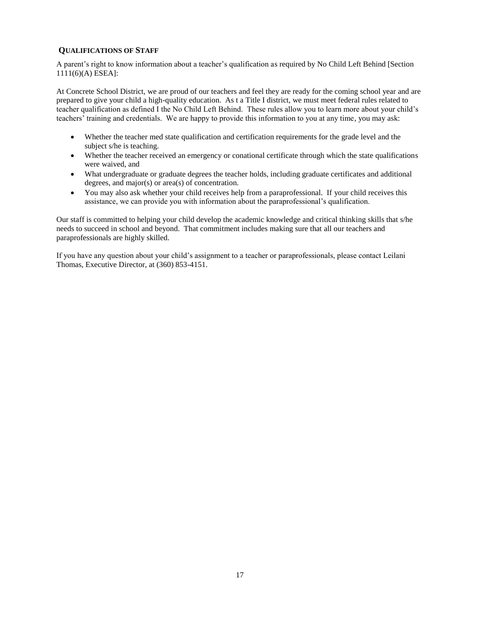### **QUALIFICATIONS OF STAFF**

 A parent's right to know information about a teacher's qualification as required by No Child Left Behind [Section 1111(6)(A) ESEA]:

 At Concrete School District, we are proud of our teachers and feel they are ready for the coming school year and are prepared to give your child a high-quality education. As t a Title I district, we must meet federal rules related to teacher qualification as defined I the No Child Left Behind. These rules allow you to learn more about your child's teachers' training and credentials. We are happy to provide this information to you at any time, you may ask:

- Whether the teacher med state qualification and certification requirements for the grade level and the subject s/he is teaching.
- Whether the teacher received an emergency or conational certificate through which the state qualifications were waived, and
- What undergraduate or graduate degrees the teacher holds, including graduate certificates and additional degrees, and major(s) or area(s) of concentration.
- You may also ask whether your child receives help from a paraprofessional. If your child receives this assistance, we can provide you with information about the paraprofessional's qualification.

 Our staff is committed to helping your child develop the academic knowledge and critical thinking skills that s/he needs to succeed in school and beyond. That commitment includes making sure that all our teachers and paraprofessionals are highly skilled.

 If you have any question about your child's assignment to a teacher or paraprofessionals, please contact Leilani Thomas, Executive Director, at (360) 853-4151.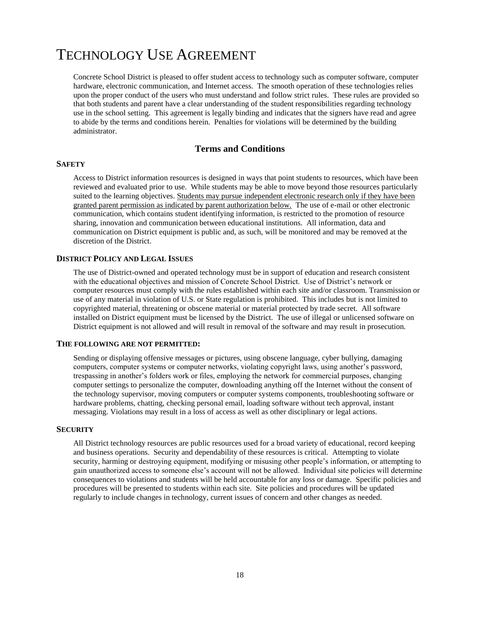### TECHNOLOGY USE AGREEMENT

 Concrete School District is pleased to offer student access to technology such as computer software, computer hardware, electronic communication, and Internet access. The smooth operation of these technologies relies upon the proper conduct of the users who must understand and follow strict rules. These rules are provided so that both students and parent have a clear understanding of the student responsibilities regarding technology use in the school setting. This agreement is legally binding and indicates that the signers have read and agree to abide by the terms and conditions herein. Penalties for violations will be determined by the building administrator.

### **Terms and Conditions**

### **SAFETY**

 Access to District information resources is designed in ways that point students to resources, which have been reviewed and evaluated prior to use. While students may be able to move beyond those resources particularly suited to the learning objectives. Students may pursue independent electronic research only if they have been granted parent permission as indicated by parent authorization below. The use of e-mail or other electronic communication, which contains student identifying information, is restricted to the promotion of resource sharing, innovation and communication between educational institutions. All information, data and communication on District equipment is public and, as such, will be monitored and may be removed at the discretion of the District.

### **DISTRICT POLICY AND LEGAL ISSUES**

 The use of District-owned and operated technology must be in support of education and research consistent with the educational objectives and mission of Concrete School District. Use of District's network or computer resources must comply with the rules established within each site and/or classroom. Transmission or use of any material in violation of U.S. or State regulation is prohibited. This includes but is not limited to copyrighted material, threatening or obscene material or material protected by trade secret. All software installed on District equipment must be licensed by the District. The use of illegal or unlicensed software on District equipment is not allowed and will result in removal of the software and may result in prosecution.

### **THE FOLLOWING ARE NOT PERMITTED:**

 Sending or displaying offensive messages or pictures, using obscene language, cyber bullying, damaging computers, computer systems or computer networks, violating copyright laws, using another's password, trespassing in another's folders work or files, employing the network for commercial purposes, changing computer settings to personalize the computer, downloading anything off the Internet without the consent of the technology supervisor, moving computers or computer systems components, troubleshooting software or hardware problems, chatting, checking personal email, loading software without tech approval, instant messaging. Violations may result in a loss of access as well as other disciplinary or legal actions.

#### **SECURITY**

 All District technology resources are public resources used for a broad variety of educational, record keeping and business operations. Security and dependability of these resources is critical. Attempting to violate security, harming or destroying equipment, modifying or misusing other people's information, or attempting to gain unauthorized access to someone else's account will not be allowed. Individual site policies will determine consequences to violations and students will be held accountable for any loss or damage. Specific policies and procedures will be presented to students within each site. Site policies and procedures will be updated regularly to include changes in technology, current issues of concern and other changes as needed.